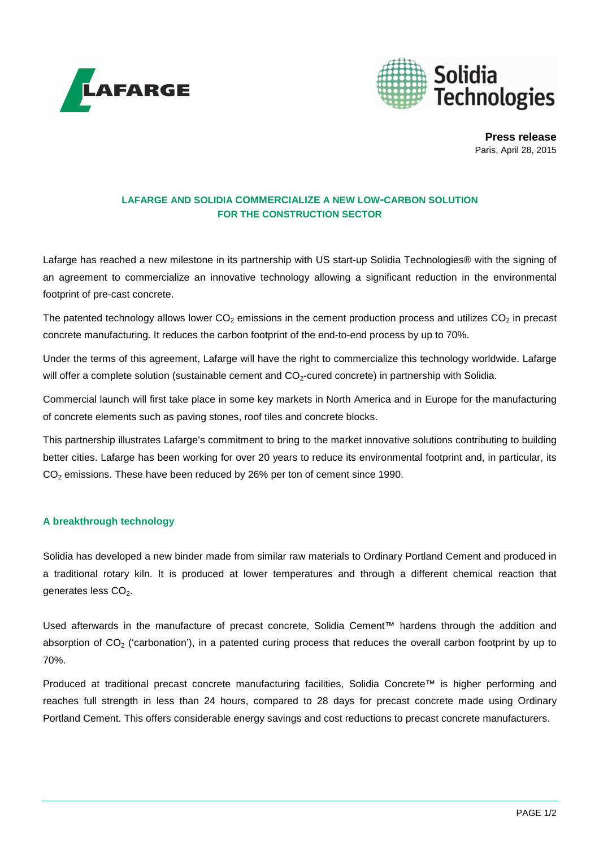



**Press release** Paris, April 28, 2015

# **LAFARGE AND SOLIDIA COMMERCIALIZE A NEW LOW-CARBON SOLUTION FOR THE CONSTRUCTION SECTOR**

Lafarge has reached a new milestone in its partnership with US start-up Solidia Technologies® with the signing of an agreement to commercialize an innovative technology allowing a significant reduction in the environmental footprint of pre-cast concrete.

The patented technology allows lower  $CO<sub>2</sub>$  emissions in the cement production process and utilizes  $CO<sub>2</sub>$  in precast concrete manufacturing. It reduces the carbon footprint of the end-to-end process by up to 70%.

Under the terms of this agreement, Lafarge will have the right to commercialize this technology worldwide. Lafarge will offer a complete solution (sustainable cement and CO<sub>2</sub>-cured concrete) in partnership with Solidia.

Commercial launch will first take place in some key markets in North America and in Europe for the manufacturing of concrete elements such as paving stones, roof tiles and concrete blocks.

This partnership illustrates Lafarge's commitment to bring to the market innovative solutions contributing to building better cities. Lafarge has been working for over 20 years to reduce its environmental footprint and, in particular, its CO<sub>2</sub> emissions. These have been reduced by 26% per ton of cement since 1990.

# **A breakthrough technology**

Solidia has developed a new binder made from similar raw materials to Ordinary Portland Cement and produced in a traditional rotary kiln. It is produced at lower temperatures and through a different chemical reaction that generates less CO<sub>2</sub>.

Used afterwards in the manufacture of precast concrete, Solidia Cement™ hardens through the addition and absorption of  $CO<sub>2</sub>$  ('carbonation'), in a patented curing process that reduces the overall carbon footprint by up to 70%.

Produced at traditional precast concrete manufacturing facilities, Solidia Concrete™ is higher performing and reaches full strength in less than 24 hours, compared to 28 days for precast concrete made using Ordinary Portland Cement. This offers considerable energy savings and cost reductions to precast concrete manufacturers.